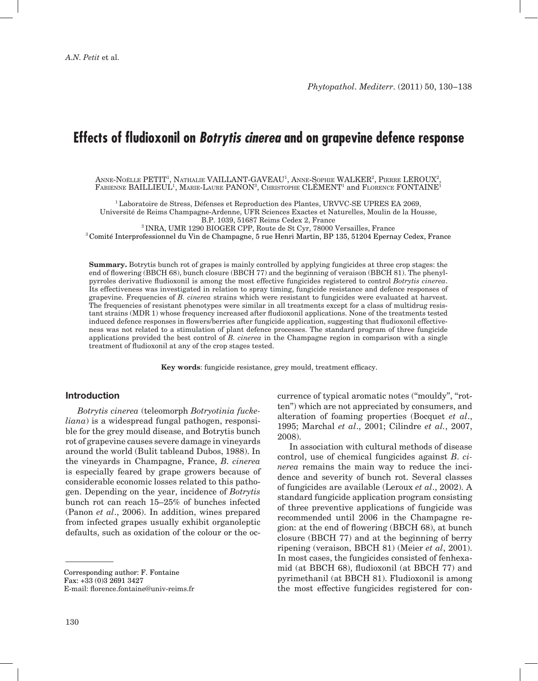# **Effects of fludioxonil on** *Botrytis cinerea* **and on grapevine defence response**

Anne-Noëlle PETIT<sup>1</sup>, Nathalie VAILLANT-GAVEAU<sup>1</sup>, Anne-Sophie WALKER<sup>2</sup>, Pierre LEROUX<sup>2</sup>,  ${\rm F}$ abienne  ${\rm BAILLIEUL}^1,$  Marie-Laure  ${\rm PANON}^3,$  Christophe CLÉMENT<sup>1</sup> and Florence  ${\rm FONTAINE}^1$ 

<sup>1</sup>Laboratoire de Stress, Défenses et Reproduction des Plantes, URVVC-SE UPRES EA 2069, Université de Reims Champagne-Ardenne, UFR Sciences Exactes et Naturelles, Moulin de la Housse, B.P. 1039, 51687 Reims Cedex 2, France

<sup>2</sup>INRA, UMR 1290 BIOGER CPP, Route de St Cyr, 78000 Versailles, France

<sup>3</sup>Comité Interprofessionnel du Vin de Champagne, 5 rue Henri Martin, BP 135, 51204 Epernay Cedex, France

**Summary.** Botrytis bunch rot of grapes is mainly controlled by applying fungicides at three crop stages: the end of flowering (BBCH 68), bunch closure (BBCH 77) and the beginning of veraison (BBCH 81). The phenylpyrroles derivative fludioxonil is among the most effective fungicides registered to control *Botrytis cinerea*. Its effectiveness was investigated in relation to spray timing, fungicide resistance and defence responses of grapevine. Frequencies of *B. cinerea* strains which were resistant to fungicides were evaluated at harvest. The frequencies of resistant phenotypes were similar in all treatments except for a class of multidrug resistant strains (MDR 1) whose frequency increased after fludioxonil applications. None of the treatments tested induced defence responses in flowers/berries after fungicide application, suggesting that fludioxonil effectiveness was not related to a stimulation of plant defence processes. The standard program of three fungicide applications provided the best control of *B. cinerea* in the Champagne region in comparison with a single treatment of fludioxonil at any of the crop stages tested.

**Key words**: fungicide resistance, grey mould, treatment efficacy.

#### **Introduction**

*Botrytis cinerea* (teleomorph *Botryotinia fuckeliana*) is a widespread fungal pathogen, responsible for the grey mould disease, and Botrytis bunch rot of grapevine causes severe damage in vineyards around the world (Bulit tableand Dubos, 1988). In the vineyards in Champagne, France, *B. cinerea* is especially feared by grape growers because of considerable economic losses related to this pathogen. Depending on the year, incidence of *Botrytis*  bunch rot can reach 15–25% of bunches infected (Panon *et al*., 2006). In addition, wines prepared from infected grapes usually exhibit organoleptic defaults, such as oxidation of the colour or the oc-

Corresponding author: F. Fontaine Fax: +33 (0)3 2691 3427 E-mail: florence.fontaine@univ-reims.fr currence of typical aromatic notes (''mouldy'', ''rotten'') which are not appreciated by consumers, and alteration of foaming properties (Bocquet *et al*., 1995; Marchal *et al*., 2001; Cilindre *et al.*, 2007, 2008).

In association with cultural methods of disease control, use of chemical fungicides against *B. cinerea* remains the main way to reduce the incidence and severity of bunch rot. Several classes of fungicides are available (Leroux *et al*., 2002). A standard fungicide application program consisting of three preventive applications of fungicide was recommended until 2006 in the Champagne region: at the end of flowering (BBCH 68), at bunch closure (BBCH 77) and at the beginning of berry ripening (veraison, BBCH 81) (Meier *et al*, 2001). In most cases, the fungicides consisted of fenhexamid (at BBCH 68), fludioxonil (at BBCH 77) and pyrimethanil (at BBCH 81). Fludioxonil is among the most effective fungicides registered for con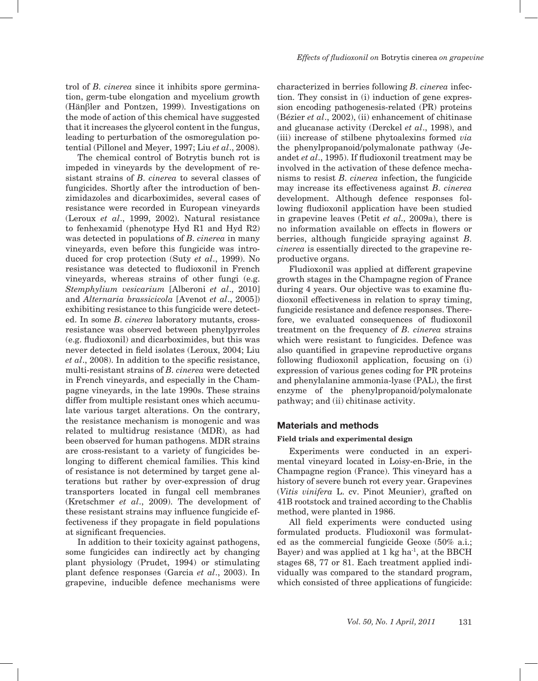trol of *B. cinerea* since it inhibits spore germination, germ-tube elongation and mycelium growth (Hänβler and Pontzen, 1999). Investigations on the mode of action of this chemical have suggested that it increases the glycerol content in the fungus, leading to perturbation of the osmoregulation potential (Pillonel and Meyer, 1997; Liu *et al*., 2008).

The chemical control of Botrytis bunch rot is impeded in vineyards by the development of resistant strains of *B. cinerea* to several classes of fungicides. Shortly after the introduction of benzimidazoles and dicarboximides, several cases of resistance were recorded in European vineyards (Leroux *et al*., 1999, 2002). Natural resistance to fenhexamid (phenotype Hyd R1 and Hyd R2) was detected in populations of *B. cinerea* in many vineyards, even before this fungicide was introduced for crop protection (Suty *et al*., 1999). No resistance was detected to fludioxonil in French vineyards, whereas strains of other fungi (e.g. *Stemphylium vesicarium* [Alberoni *et al*., 2010] and *Alternaria brassicicola* [Avenot *et al*., 2005]) exhibiting resistance to this fungicide were detected. In some *B. cinerea* laboratory mutants, crossresistance was observed between phenylpyrroles (e.g. fludioxonil) and dicarboximides, but this was never detected in field isolates (Leroux, 2004; Liu *et al*., 2008). In addition to the specific resistance, multi-resistant strains of *B. cinerea* were detected in French vineyards, and especially in the Champagne vineyards, in the late 1990s. These strains differ from multiple resistant ones which accumulate various target alterations. On the contrary, the resistance mechanism is monogenic and was related to multidrug resistance (MDR), as had been observed for human pathogens. MDR strains are cross-resistant to a variety of fungicides belonging to different chemical families. This kind of resistance is not determined by target gene alterations but rather by over-expression of drug transporters located in fungal cell membranes (Kretschmer *et al*., 2009). The development of these resistant strains may influence fungicide effectiveness if they propagate in field populations at significant frequencies.

In addition to their toxicity against pathogens, some fungicides can indirectly act by changing plant physiology (Prudet, 1994) or stimulating plant defence responses (Garcia *et al*., 2003). In grapevine, inducible defence mechanisms were

characterized in berries following *B. cinerea* infection. They consist in (i) induction of gene expression encoding pathogenesis-related (PR) proteins (Bézier *et al*., 2002), (ii) enhancement of chitinase and glucanase activity (Derckel *et al*., 1998), and (iii) increase of stilbene phytoalexins formed *via* the phenylpropanoid/polymalonate pathway (Jeandet *et al*., 1995). If fludioxonil treatment may be involved in the activation of these defence mechanisms to resist *B. cinerea* infection, the fungicide may increase its effectiveness against *B. cinerea*  development. Although defence responses following fludioxonil application have been studied in grapevine leaves (Petit *et al.,* 2009a), there is no information available on effects in flowers or berries, although fungicide spraying against *B. cinerea* is essentially directed to the grapevine reproductive organs.

Fludioxonil was applied at different grapevine growth stages in the Champagne region of France during 4 years. Our objective was to examine fludioxonil effectiveness in relation to spray timing, fungicide resistance and defence responses. Therefore, we evaluated consequences of fludioxonil treatment on the frequency of *B. cinerea* strains which were resistant to fungicides. Defence was also quantified in grapevine reproductive organs following fludioxonil application, focusing on (i) expression of various genes coding for PR proteins and phenylalanine ammonia-lyase (PAL), the first enzyme of the phenylpropanoid/polymalonate pathway; and (ii) chitinase activity.

### **Materials and methods**

#### **Field trials and experimental design**

Experiments were conducted in an experimental vineyard located in Loisy-en-Brie, in the Champagne region (France). This vineyard has a history of severe bunch rot every year. Grapevines (*Vitis vinifera* L. cv. Pinot Meunier), grafted on 41B rootstock and trained according to the Chablis method, were planted in 1986.

All field experiments were conducted using formulated products. Fludioxonil was formulated as the commercial fungicide Geoxe (50% a.i.; Bayer) and was applied at  $1 \text{ kg ha}^{-1}$ , at the BBCH stages 68, 77 or 81. Each treatment applied individually was compared to the standard program, which consisted of three applications of fungicide: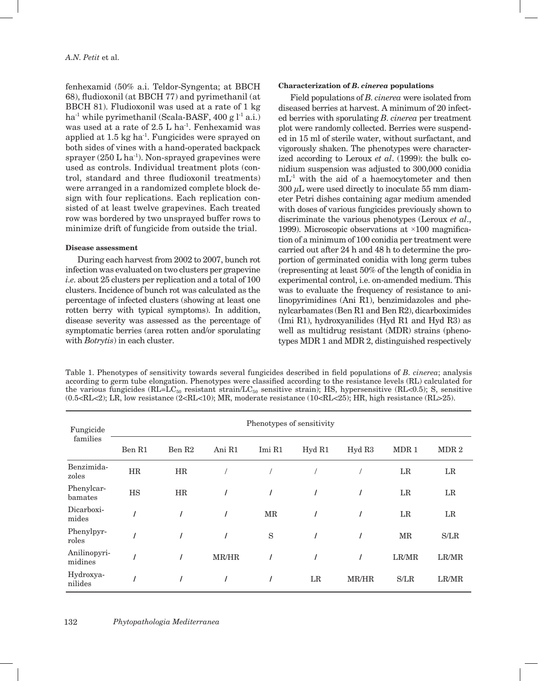fenhexamid (50% a.i. Teldor-Syngenta; at BBCH 68), fludioxonil (at BBCH 77) and pyrimethanil (at BBCH 81). Fludioxonil was used at a rate of 1 kg ha<sup>-1</sup> while pyrimethanil (Scala-BASF,  $400 g$ <sup>1-1</sup> a.i.) was used at a rate of 2.5 L ha<sup>-1</sup>. Fenhexamid was applied at 1.5 kg ha-1. Fungicides were sprayed on both sides of vines with a hand-operated backpack sprayer  $(250 \text{ L ha}^{-1})$ . Non-sprayed grapevines were used as controls. Individual treatment plots (control, standard and three fludioxonil treatments) were arranged in a randomized complete block design with four replications. Each replication consisted of at least twelve grapevines. Each treated row was bordered by two unsprayed buffer rows to minimize drift of fungicide from outside the trial.

### **Disease assessment**

During each harvest from 2002 to 2007, bunch rot infection was evaluated on two clusters per grapevine *i.e.* about 25 clusters per replication and a total of 100 clusters. Incidence of bunch rot was calculated as the percentage of infected clusters (showing at least one rotten berry with typical symptoms). In addition, disease severity was assessed as the percentage of symptomatic berries (area rotten and/or sporulating with *Botrytis*) in each cluster.

#### **Characterization of** *B. cinerea* **populations**

Field populations of *B. cinerea* were isolated from diseased berries at harvest. A minimum of 20 infected berries with sporulating *B. cinerea* per treatment plot were randomly collected. Berries were suspended in 15 ml of sterile water, without surfactant, and vigorously shaken. The phenotypes were characterized according to Leroux *et al*. (1999): the bulk conidium suspension was adjusted to 300,000 conidia  $mL<sup>-1</sup>$  with the aid of a haemocytometer and then  $300 \mu L$  were used directly to inoculate 55 mm diameter Petri dishes containing agar medium amended with doses of various fungicides previously shown to discriminate the various phenotypes (Leroux *et al*., 1999). Microscopic observations at ×100 magnification of a minimum of 100 conidia per treatment were carried out after 24 h and 48 h to determine the proportion of germinated conidia with long germ tubes (representing at least 50% of the length of conidia in experimental control, i.e. on-amended medium. This was to evaluate the frequency of resistance to anilinopyrimidines (Ani R1), benzimidazoles and phenylcarbamates (Ben R1 and Ben R2), dicarboximides (Imi R1), hydroxyanilides (Hyd R1 and Hyd R3) as well as multidrug resistant (MDR) strains (phenotypes MDR 1 and MDR 2, distinguished respectively

Table 1. Phenotypes of sensitivity towards several fungicides described in field populations of *B. cinerea*; analysis according to germ tube elongation. Phenotypes were classified according to the resistance levels (RL) calculated for the various fungicides ( $RL=LC_{50}$  resistant strain/ $LC_{50}$  sensitive strain); HS, hypersensitive ( $RL<0.5$ ); S, sensitive (0.5<RL<2); LR, low resistance (2<RL<10); MR, moderate resistance (10<RL<25); HR, high resistance (RL>25).

| Fungicide<br>families   | Phenotypes of sensitivity |                    |        |                     |        |        |                     |                  |  |
|-------------------------|---------------------------|--------------------|--------|---------------------|--------|--------|---------------------|------------------|--|
|                         | Ben R1                    | Ben R <sub>2</sub> | Ani R1 | Imi R1              | Hyd R1 | Hyd R3 | MDR1                | MDR <sub>2</sub> |  |
| Benzimida-<br>zoles     | HR                        | HR                 |        |                     |        |        | $_{LR}$             | LR               |  |
| Phenylcar-<br>bamates   | <b>HS</b>                 | <b>HR</b>          |        |                     |        |        | $_{LR}$             | $_{LR}$          |  |
| Dicarboxi-<br>mides     |                           |                    |        | $\operatorname{MR}$ |        |        | LR                  | LR               |  |
| Phenylpyr-<br>roles     |                           |                    | 1      | S                   |        |        | $\operatorname{MR}$ | S/LR             |  |
| Anilinopyri-<br>midines |                           |                    | MR/HR  |                     |        |        | LR/MR               | LR/MR            |  |
| Hydroxya-<br>nilides    |                           |                    |        |                     | LR     | MR/HR  | S/LR                | LR/MR            |  |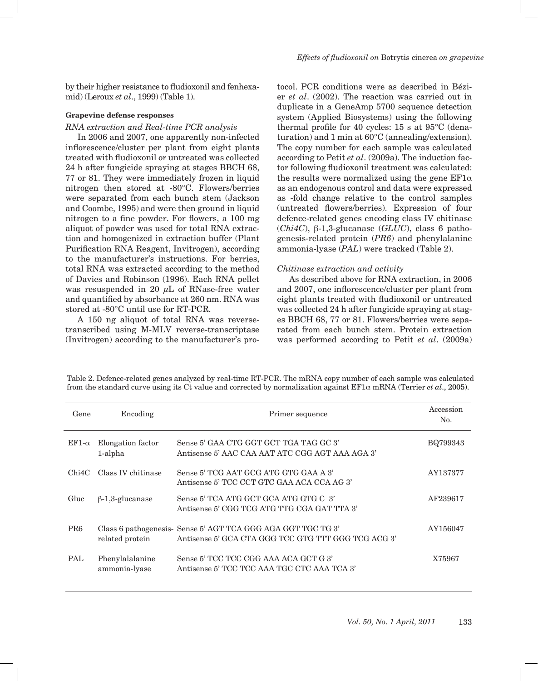by their higher resistance to fludioxonil and fenhexamid) (Leroux *et al*., 1999) (Table 1).

### **Grapevine defense responses**

### *RNA extraction and Real-time PCR analysis*

In 2006 and 2007, one apparently non-infected inflorescence/cluster per plant from eight plants treated with fludioxonil or untreated was collected 24 h after fungicide spraying at stages BBCH 68, 77 or 81. They were immediately frozen in liquid nitrogen then stored at -80°C. Flowers/berries were separated from each bunch stem (Jackson and Coombe, 1995) and were then ground in liquid nitrogen to a fine powder. For flowers, a 100 mg aliquot of powder was used for total RNA extraction and homogenized in extraction buffer (Plant Purification RNA Reagent, Invitrogen), according to the manufacturer's instructions. For berries, total RNA was extracted according to the method of Davies and Robinson (1996). Each RNA pellet was resuspended in 20  $\mu$ L of RNase-free water and quantified by absorbance at 260 nm. RNA was stored at -80°C until use for RT-PCR.

A 150 ng aliquot of total RNA was reversetranscribed using M-MLV reverse-transcriptase (Invitrogen) according to the manufacturer's pro-

tocol. PCR conditions were as described in Bézier *et al*. (2002). The reaction was carried out in duplicate in a GeneAmp 5700 sequence detection system (Applied Biosystems) using the following thermal profile for 40 cycles: 15 s at 95°C (denaturation) and 1 min at 60°C (annealing/extension). The copy number for each sample was calculated according to Petit *et al*. (2009a). The induction factor following fludioxonil treatment was calculated: the results were normalized using the gene  $E \to 1\alpha$ as an endogenous control and data were expressed as -fold change relative to the control samples (untreated flowers/berries). Expression of four defence-related genes encoding class IV chitinase (*Chi4C*), β-1,3-glucanase (*GLUC*), class 6 pathogenesis-related protein (*PR6*) and phenylalanine ammonia-lyase (*PAL*) were tracked (Table 2).

# *Chitinase extraction and activity*

As described above for RNA extraction, in 2006 and 2007, one inflorescence/cluster per plant from eight plants treated with fludioxonil or untreated was collected 24 h after fungicide spraying at stages BBCH 68, 77 or 81. Flowers/berries were separated from each bunch stem. Protein extraction was performed according to Petit *et al*. (2009a)

| Gene            | Encoding                         | Primer sequence                                                                                                     | Accession<br>No. |
|-----------------|----------------------------------|---------------------------------------------------------------------------------------------------------------------|------------------|
| $EF1-\alpha$    | Elongation factor<br>1-alpha     | Sense 5' GAA CTG GGT GCT TGA TAG GC 3'<br>Antisense 5' AAC CAA AAT ATC CGG AGT AAA AGA 3'                           | BQ799343         |
| Chi4C           | Class IV chitinase               | Sense 5' TCG AAT GCG ATG GTG GAA A 3'<br>Antisense 5' TCC CCT GTC GAA ACA CCA AG 3'                                 | AY137377         |
| Gluc            | $\beta$ -1,3-glucanase           | Sense 5' TCA ATG GCT GCA ATG GTG C 3'<br>Antisense 5' CGG TCG ATG TTG CGA GAT TTA 3'                                | AF239617         |
| PR <sub>6</sub> | related protein                  | Class 6 pathogenesis- Sense 5' AGT TCA GGG AGA GGT TGC TG 3'<br>Antisense 5' GCA CTA GGG TCC GTG TTT GGG TCG ACG 3' | AY156047         |
| <b>PAL</b>      | Phenylalalanine<br>ammonia-lyase | Sense 5' TCC TCC CGG AAA ACA GCT G 3'<br>Antisense 5' TCC TCC AAA TGC CTC AAA TCA 3'                                | X75967           |

Table 2. Defence-related genes analyzed by real-time RT-PCR. The mRNA copy number of each sample was calculated from the standard curve using its Ct value and corrected by normalization against EF1α mRNA (Terrier *et al*., 2005).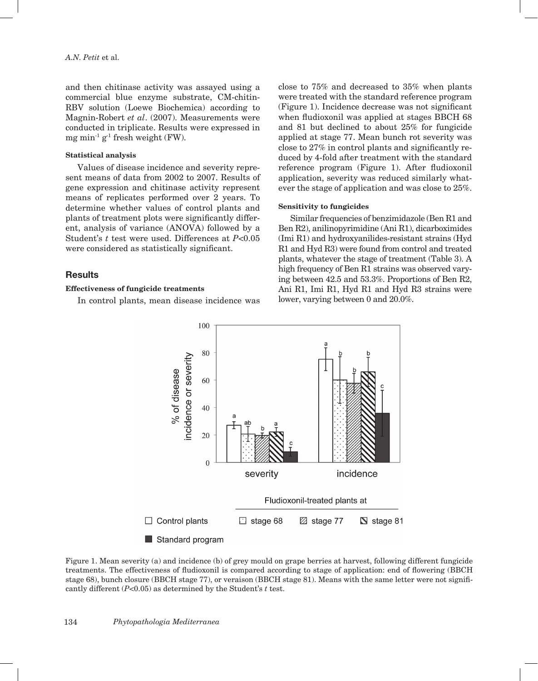and then chitinase activity was assayed using a commercial blue enzyme substrate, CM-chitin-RBV solution (Loewe Biochemica) according to Magnin-Robert *et al*. (2007). Measurements were conducted in triplicate. Results were expressed in mg min<sup>-1</sup> g<sup>-1</sup> fresh weight (FW).

### **Statistical analysis**

Values of disease incidence and severity represent means of data from 2002 to 2007. Results of gene expression and chitinase activity represent means of replicates performed over 2 years. To determine whether values of control plants and plants of treatment plots were significantly different, analysis of variance (ANOVA) followed by a Student's *t* test were used. Differences at *P*<0.05 were considered as statistically significant.

# **Results**

# **Effectiveness of fungicide treatments**

In control plants, mean disease incidence was

close to 75% and decreased to 35% when plants were treated with the standard reference program (Figure 1). Incidence decrease was not significant when fludioxonil was applied at stages BBCH 68 and 81 but declined to about 25% for fungicide applied at stage 77. Mean bunch rot severity was close to 27% in control plants and significantly reduced by 4-fold after treatment with the standard reference program (Figure 1). After fludioxonil application, severity was reduced similarly whatever the stage of application and was close to 25%.

#### **Sensitivity to fungicides**

Similar frequencies of benzimidazole (Ben R1 and Ben R2), anilinopyrimidine (Ani R1), dicarboximides (Imi R1) and hydroxyanilides-resistant strains (Hyd R1 and Hyd R3) were found from control and treated plants, whatever the stage of treatment (Table 3). A high frequency of Ben R1 strains was observed varying between 42.5 and 53.3%. Proportions of Ben R2, Ani R1, Imi R1, Hyd R1 and Hyd R3 strains were lower, varying between 0 and 20.0%.



Figure 1. Mean severity (a) and incidence (b) of grey mould on grape berries at harvest, following different fungicide treatments. The effectiveness of fludioxonil is compared according to stage of application: end of flowering (BBCH stage 68), bunch closure (BBCH stage 77), or veraison (BBCH stage 81). Means with the same letter were not significantly different (*P*<0.05) as determined by the Student's *t* test.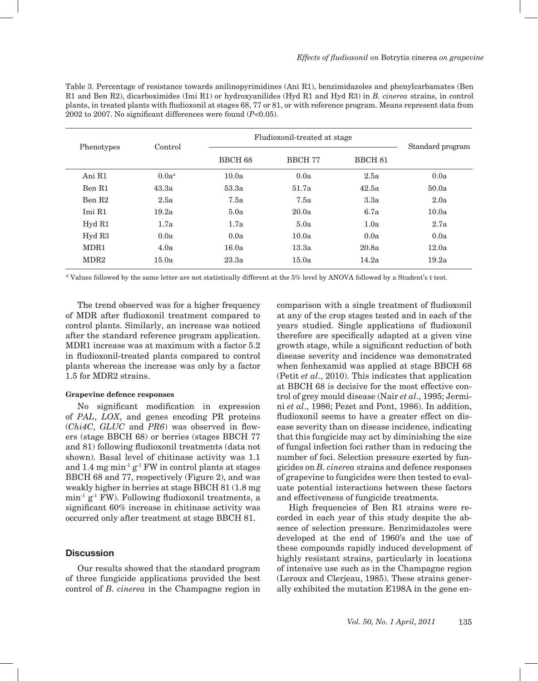Table 3. Percentage of resistance towards anilinopyrimidines (Ani R1), benzimidazoles and phenylcarbamates (Ben R1 and Ben R2), dicarboximides (Imi R1) or hydroxyanilides (Hyd R1 and Hyd R3) in *B. cinerea* strains, in control plants, in treated plants with fludioxonil at stages 68, 77 or 81, or with reference program. Means represent data from 2002 to 2007. No significant differences were found (*P*<0.05).

| Phenotypes         | Control  | Fludioxonil-treated at stage | Standard program |                    |       |
|--------------------|----------|------------------------------|------------------|--------------------|-------|
|                    |          | <b>BBCH 68</b>               | BBCH 77          | BBCH <sub>81</sub> |       |
| Ani R1             | $0.0a^a$ | 10.0a                        | 0.0a             | 2.5a               | 0.0a  |
| Ben R1             | 43.3a    | 53.3a                        | 51.7a            | 42.5a              | 50.0a |
| Ben R <sub>2</sub> | 2.5a     | 7.5a                         | 7.5a             | 3.3a               | 2.0a  |
| Imi R1             | 19.2a    | 5.0a                         | 20.0a            | 6.7a               | 10.0a |
| Hyd R1             | 1.7a     | 1.7a                         | 5.0a             | 1.0a               | 2.7a  |
| Hyd R3             | 0.0a     | 0.0a                         | 10.0a            | 0.0a               | 0.0a  |
| MDR1               | 4.0a     | 16.0a                        | 13.3a            | 20.8a              | 12.0a |
| MDR <sub>2</sub>   | 15.0a    | 23.3a                        | 15.0a            | 14.2a              | 19.2a |

<sup>a</sup> Values followed by the same letter are not statistically different at the 5% level by ANOVA followed by a Student's t test.

The trend observed was for a higher frequency of MDR after fludioxonil treatment compared to control plants. Similarly, an increase was noticed after the standard reference program application. MDR1 increase was at maximum with a factor 5.2 in fludioxonil-treated plants compared to control plants whereas the increase was only by a factor 1.5 for MDR2 strains.

#### **Grapevine defence responses**

No significant modification in expression of *PAL*, *LOX*, and genes encoding PR proteins (*Chi4C*, *GLUC* and *PR6*) was observed in flowers (stage BBCH 68) or berries (stages BBCH 77 and 81) following fludioxonil treatments (data not shown). Basal level of chitinase activity was 1.1 and 1.4 mg  $\min^{-1} g^{-1}$  FW in control plants at stages BBCH 68 and 77, respectively (Figure 2), and was weakly higher in berries at stage BBCH 81 (1.8 mg  $min<sup>-1</sup> g<sup>-1</sup> FW$ ). Following fludioxonil treatments, a significant 60% increase in chitinase activity was occurred only after treatment at stage BBCH 81.

### **Discussion**

Our results showed that the standard program of three fungicide applications provided the best control of *B. cinerea* in the Champagne region in

comparison with a single treatment of fludioxonil at any of the crop stages tested and in each of the years studied. Single applications of fludioxonil therefore are specifically adapted at a given vine growth stage, while a significant reduction of both disease severity and incidence was demonstrated when fenhexamid was applied at stage BBCH 68 (Petit *et al*., 2010). This indicates that application at BBCH 68 is decisive for the most effective control of grey mould disease (Nair *et al*., 1995; Jermini *et al*., 1986; Pezet and Pont, 1986). In addition, fludioxonil seems to have a greater effect on disease severity than on disease incidence, indicating that this fungicide may act by diminishing the size of fungal infection foci rather than in reducing the number of foci. Selection pressure exerted by fungicides on *B. cinerea* strains and defence responses of grapevine to fungicides were then tested to evaluate potential interactions between these factors and effectiveness of fungicide treatments.

High frequencies of Ben R1 strains were recorded in each year of this study despite the absence of selection pressure. Benzimidazoles were developed at the end of 1960's and the use of these compounds rapidly induced development of highly resistant strains, particularly in locations of intensive use such as in the Champagne region (Leroux and Clerjeau, 1985). These strains generally exhibited the mutation E198A in the gene en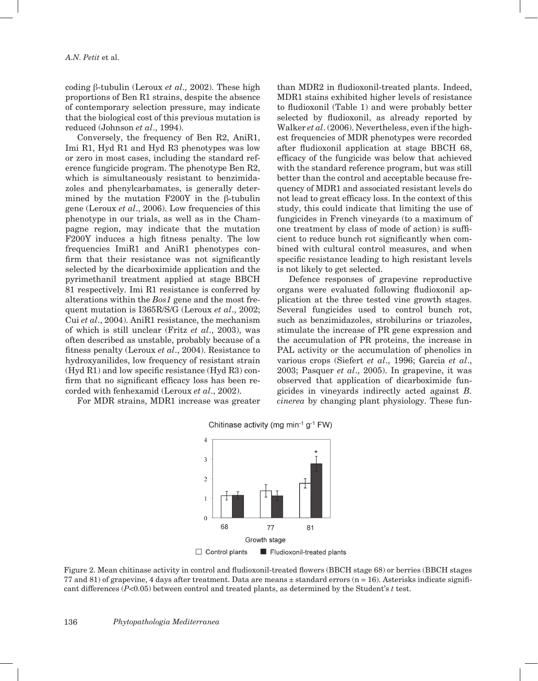coding β-tubulin (Leroux *et al.,* 2002). These high proportions of Ben R1 strains, despite the absence of contemporary selection pressure, may indicate that the biological cost of this previous mutation is reduced (Johnson *et al*., 1994).

Conversely, the frequency of Ben R2, AniR1, Imi R1, Hyd R1 and Hyd R3 phenotypes was low or zero in most cases, including the standard reference fungicide program. The phenotype Ben R2, which is simultaneously resistant to benzimidazoles and phenylcarbamates, is generally determined by the mutation F200Y in the β-tubulin gene (Leroux *et al*., 2006). Low frequencies of this phenotype in our trials, as well as in the Champagne region, may indicate that the mutation F200Y induces a high fitness penalty. The low frequencies ImiR1 and AniR1 phenotypes confirm that their resistance was not significantly selected by the dicarboximide application and the pyrimethanil treatment applied at stage BBCH 81 respectively. Imi R1 resistance is conferred by alterations within the *Bos1* gene and the most frequent mutation is I365R/S/G (Leroux *et al*., 2002; Cui *et al*., 2004). AniR1 resistance, the mechanism of which is still unclear (Fritz *et al*., 2003), was often described as unstable, probably because of a fitness penalty (Leroux *et al*., 2004). Resistance to hydroxyanilides, low frequency of resistant strain (Hyd R1) and low specific resistance (Hyd R3) confirm that no significant efficacy loss has been recorded with fenhexamid (Leroux *et al*., 2002).

For MDR strains, MDR1 increase was greater

than MDR2 in fludioxonil-treated plants. Indeed, MDR1 stains exhibited higher levels of resistance to fludioxonil (Table 1) and were probably better selected by fludioxonil, as already reported by Walker *et al*. (2006). Nevertheless, even if the highest frequencies of MDR phenotypes were recorded after fludioxonil application at stage BBCH 68, efficacy of the fungicide was below that achieved with the standard reference program, but was still better than the control and acceptable because frequency of MDR1 and associated resistant levels do not lead to great efficacy loss. In the context of this study, this could indicate that limiting the use of fungicides in French vineyards (to a maximum of one treatment by class of mode of action) is sufficient to reduce bunch rot significantly when combined with cultural control measures, and when specific resistance leading to high resistant levels is not likely to get selected.

Defence responses of grapevine reproductive organs were evaluated following fludioxonil application at the three tested vine growth stages. Several fungicides used to control bunch rot, such as benzimidazoles, strobilurins or triazoles, stimulate the increase of PR gene expression and the accumulation of PR proteins, the increase in PAL activity or the accumulation of phenolics in various crops (Siefert *et al*., 1996; Garcia *et al*., 2003; Pasquer *et al*., 2005). In grapevine, it was observed that application of dicarboximide fungicides in vineyards indirectly acted against *B. cinerea* by changing plant physiology. These fun-



Chitinase activity (mg min<sup>-1</sup> g<sup>-1</sup> FW)

 $\Box$  Control plants Fludioxonil-treated plants

Figure 2. Mean chitinase activity in control and fludioxonil-treated flowers (BBCH stage 68) or berries (BBCH stages 77 and 81) of grapevine, 4 days after treatment. Data are means  $\pm$  standard errors (n = 16). Asterisks indicate significant differences (*P*<0.05) between control and treated plants, as determined by the Student's *t* test.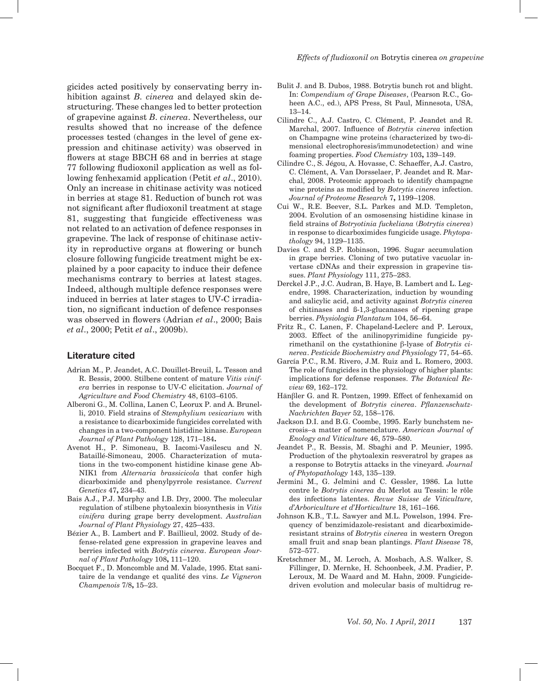gicides acted positively by conservating berry inhibition against *B. cinerea* and delayed skin destructuring. These changes led to better protection of grapevine against *B. cinerea*. Nevertheless, our results showed that no increase of the defence processes tested (changes in the level of gene expression and chitinase activity) was observed in flowers at stage BBCH 68 and in berries at stage 77 following fludioxonil application as well as following fenhexamid application (Petit *et al*., 2010). Only an increase in chitinase activity was noticed in berries at stage 81. Reduction of bunch rot was not significant after fludioxonil treatment at stage 81, suggesting that fungicide effectiveness was not related to an activation of defence responses in grapevine. The lack of response of chitinase activity in reproductive organs at flowering or bunch closure following fungicide treatment might be explained by a poor capacity to induce their defence mechanisms contrary to berries at latest stages. Indeed, although multiple defence responses were induced in berries at later stages to UV-C irradiation, no significant induction of defence responses was observed in flowers (Adrian *et al*., 2000; Bais *et al*., 2000; Petit *et al*., 2009b).

#### **Literature cited**

- Adrian M., P. Jeandet, A.C. Douillet-Breuil, L. Tesson and R. Bessis, 2000. Stilbene content of mature *Vitis vinifera* berries in response to UV-C elicitation. *Journal of Agriculture and Food Chemistry* 48, 6103–6105.
- Alberoni G., M. Collina, Lanen C, Leorux P. and A. Brunelli, 2010. Field strains of *Stemphylium vesicarium* with a resistance to dicarboximide fungicides correlated with changes in a two-component histidine kinase. *European Journal of Plant Pathology* 128, 171–184**.**
- Avenot H., P. Simoneau, B. Iacomi-Vasilescu and N. Bataillé-Simoneau, 2005. Characterization of mutations in the two-component histidine kinase gene Ab-NIK1 from *Alternaria brassicicola* that confer high dicarboximide and phenylpyrrole resistance. *Current Genetics* 47**,** 234–43.
- Bais A.J., P.J. Murphy and I.B. Dry, 2000. The molecular regulation of stilbene phytoalexin biosynthesis in *Vitis vinifera* during grape berry development. *Australian Journal of Plant Physiology* 27, 425–433.
- Bézier A., B. Lambert and F. Baillieul, 2002. Study of defense-related gene expression in grapevine leaves and berries infected with *Botrytis cinerea*. *European Journal of Plant Pathology* 108**,** 111–120.
- Bocquet F., D. Moncomble and M. Valade, 1995. Etat sanitaire de la vendange et qualité des vins. *Le Vigneron Champenois* 7/8**,** 15–23.
- Bulit J. and B. Dubos, 1988. Botrytis bunch rot and blight. In: *Compendium of Grape Diseases*, (Pearson R.C., Goheen A.C., ed.), APS Press, St Paul, Minnesota, USA, 13–14.
- Cilindre C., A.J. Castro, C. Clément, P. Jeandet and R. Marchal, 2007. Influence of *Botrytis cinerea* infection on Champagne wine proteins (characterized by two-dimensional electrophoresis/immunodetection) and wine foaming properties. *Food Chemistry* 103**,** 139–149.
- Cilindre C., S. Jégou, A. Hovasse, C. Schaeffer, A.J. Castro, C. Clément, A. Van Dorsselaer, P. Jeandet and R. Marchal, 2008. Proteomic approach to identify champagne wine proteins as modified by *Botrytis cinerea* infection. *Journal of Proteome Research* 7**,** 1199–1208.
- Cui W., R.E. Beever, S.L. Parkes and M.D. Templeton, 2004. Evolution of an osmosensing histidine kinase in field strains of *Botryotinia fuckeliana* (*Botrytis cinerea*) in response to dicarboximides fungicide usage. *Phytopathology* 94, 1129–1135.
- Davies C. and S.P. Robinson, 1996. Sugar accumulation in grape berries. Cloning of two putative vacuolar invertase cDNAs and their expression in grapevine tissues. *Plant Physiology* 111, 275–283.
- Derckel J.P., J.C. Audran, B. Haye, B. Lambert and L. Legendre, 1998. Characterization, induction by wounding and salicylic acid, and activity against *Botrytis cinerea* of chitinases and ß-1,3-glucanases of ripening grape berries. *Physiologia Plantatum* 104, 56–64.
- Fritz R., C. Lanen, F. Chapeland-Leclerc and P. Leroux, 2003. Effect of the anilinopyrimidine fungicide pyrimethanil on the cystathionine β-lyase of *Botrytis cinerea*. *Pesticide Biochemistry and Physiology* 77, 54–65.
- García P.C., R.M. Rivero, J.M. Ruiz and L. Romero, 2003. The role of fungicides in the physiology of higher plants: implications for defense responses. *The Botanical Review* 69, 162–172.
- Hänβler G. and R. Pontzen, 1999. Effect of fenhexamid on the development of *Botrytis cinerea*. *Pflanzenschutz-Nachrichten Bayer* 52, 158–176.
- Jackson D.I. and B.G. Coombe, 1995. Early bunchstem necrosis–a matter of nomenclature. *American Journal of Enology and Viticulture* 46, 579–580.
- Jeandet P., R. Bessis, M. Sbaghi and P. Meunier, 1995. Production of the phytoalexin resveratrol by grapes as a response to Botrytis attacks in the vineyard*. Journal of Phytopathology* 143, 135–139.
- Jermini M., G. Jelmini and C. Gessler, 1986. La lutte contre le *Botrytis cinerea* du Merlot au Tessin: le rôle des infections latentes. *Revue Suisse de Viticulture, d'Arboriculture et d'Horticulture* 18, 161–166.
- Johnson K.B., T.L. Sawyer and M.L. Powelson, 1994. Frequency of benzimidazole-resistant and dicarboximideresistant strains of *Botrytis cinerea* in western Oregon small fruit and snap bean plantings. *Plant Disease* 78, 572–577.
- Kretschmer M., M. Leroch, A. Mosbach, A.S. Walker, S. Fillinger, D. Mernke, H. Schoonbeek, J.M. Pradier, P. Leroux, M. De Waard and M. Hahn, 2009. Fungicidedriven evolution and molecular basis of multidrug re-

*Vol. 50, No. 1 April, 2011* 137